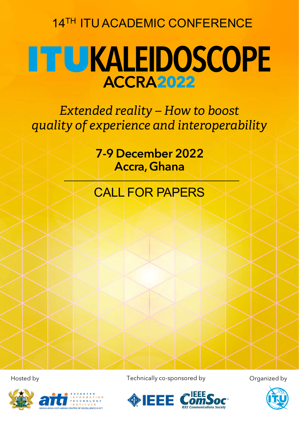14TH ITU ACADEMIC CONFERENCE

## **THU KALEIDOSCOPE ACCRA2022**

*Extended reality – How to boost quality of experience and interoperability*

> 7-9 December 2022 Accra, Ghana

### CALL FOR PAPERS



Hosted by **Technically co-sponsored by** Organized by



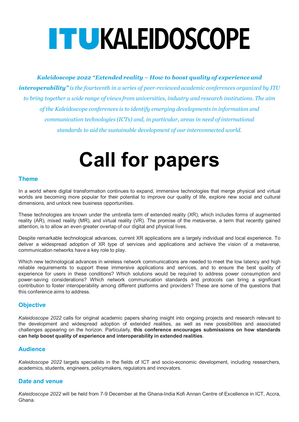# **ITUKALEIDOSCOPE**

*Kaleidoscope 2022 "Extended reality – How to boost quality of experience and interoperability" is the fourteenth in a series of peer-reviewed academic conferences organized by ITU to bring together a wide range of views from universities, industry and research institutions. The aim of the Kaleidoscope conferences is to identify emerging developments in information and communication technologies (ICTs) and, in particular, areas in need of international standards to aid the sustainable development of our interconnected world.* 

## **Call for papers**

#### **Theme**

In a world where digital transformation continues to expand, immersive technologies that merge physical and virtual worlds are becoming more popular for their potential to improve our quality of life, explore new social and cultural dimensions, and unlock new business opportunities.

These technologies are known under the umbrella term of extended reality (XR), which includes forms of augmented reality (AR), mixed reality (MR), and virtual reality (VR). The promise of the metaverse, a term that recently gained attention, is to allow an even greater overlap of our digital and physical lives.

Despite remarkable technological advances, current XR applications are a largely individual and local experience. To deliver a widespread adoption of XR type of services and applications and achieve the vision of a metaverse, communication networks have a key role to play.

Which new technological advances in wireless network communications are needed to meet the low latency and high reliable requirements to support these immersive applications and services, and to ensure the best quality of experience for users in these conditions? Which solutions would be required to address power consumption and power-saving considerations? Which network communication standards and protocols can bring a significant contribution to foster interoperability among different platforms and providers? These are some of the questions that this conference aims to address.

#### **Objective**

*Kaleidoscope 2022* calls for original academic papers sharing insight into ongoing projects and research relevant to the development and widespread adoption of extended realities, as well as new possibilities and associated challenges appearing on the horizon. Particularly, **this conference encourages submissions on how standards can help boost quality of experience and interoperability in extended realities**.

#### **Audience**

*Kaleidoscope 2022* targets specialists in the fields of ICT and socio-economic development, including researchers, academics, students, engineers, policymakers, regulators and innovators.

#### **Date and venue**

*Kaleidoscope 2022* will be held from 7-9 December at the Ghana-India Kofi Annan Centre of Excellence in ICT, Accra, Ghana.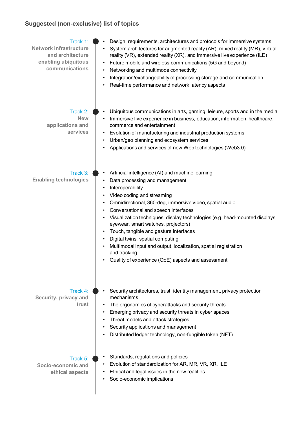#### **Suggested (non-exclusive) list of topics**

| Track 1:<br><b>Network infrastructure</b><br>and architecture<br>enabling ubiquitous<br>communications | Design, requirements, architectures and protocols for immersive systems<br>System architectures for augmented reality (AR), mixed reality (MR), virtual<br>reality (VR), extended reality (XR), and immersive live experience (ILE)<br>Future mobile and wireless communications (5G and beyond)<br>Networking and multimode connectivity<br>$\bullet$<br>Integration/exchangeability of processing storage and communication<br>Real-time performance and network latency aspects                                                                                                     |
|--------------------------------------------------------------------------------------------------------|----------------------------------------------------------------------------------------------------------------------------------------------------------------------------------------------------------------------------------------------------------------------------------------------------------------------------------------------------------------------------------------------------------------------------------------------------------------------------------------------------------------------------------------------------------------------------------------|
| Track 2:<br><b>New</b><br>applications and<br>services                                                 | Ubiquitous communications in arts, gaming, leisure, sports and in the media<br>Immersive live experience in business, education, information, healthcare,<br>commerce and entertainment<br>Evolution of manufacturing and industrial production systems<br>Urban/geo planning and ecosystem services<br>Applications and services of new Web technologies (Web3.0)                                                                                                                                                                                                                     |
| Track 3:<br><b>Enabling technologies</b>                                                               | Artificial intelligence (AI) and machine learning<br>Data processing and management<br>Interoperability<br>Video coding and streaming<br>Omnidirectional, 360-deg, immersive video, spatial audio<br>Conversational and speech interfaces<br>Visualization techniques, display technologies (e.g. head-mounted displays,<br>eyewear, smart watches, projectors)<br>Touch, tangible and gesture interfaces<br>Digital twins, spatial computing<br>Multimodal input and output, localization, spatial registration<br>and tracking<br>Quality of experience (QoE) aspects and assessment |
| Track $4:$<br>Security, privacy and<br>trust                                                           | Security architectures, trust, identity management, privacy protection<br>mechanisms<br>The ergonomics of cyberattacks and security threats<br>Emerging privacy and security threats in cyber spaces<br>Threat models and attack strategies<br>Security applications and management<br>Distributed ledger technology, non-fungible token (NFT)                                                                                                                                                                                                                                         |
| Track 5:<br>Socio-economic and<br>ethical aspects                                                      | Standards, regulations and policies<br>Evolution of standardization for AR, MR, VR, XR, ILE<br>Ethical and legal issues in the new realities<br>Socio-economic implications                                                                                                                                                                                                                                                                                                                                                                                                            |